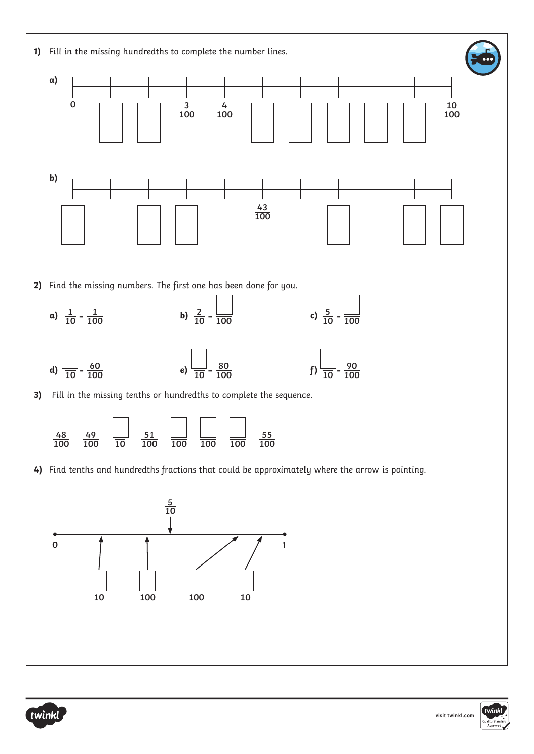



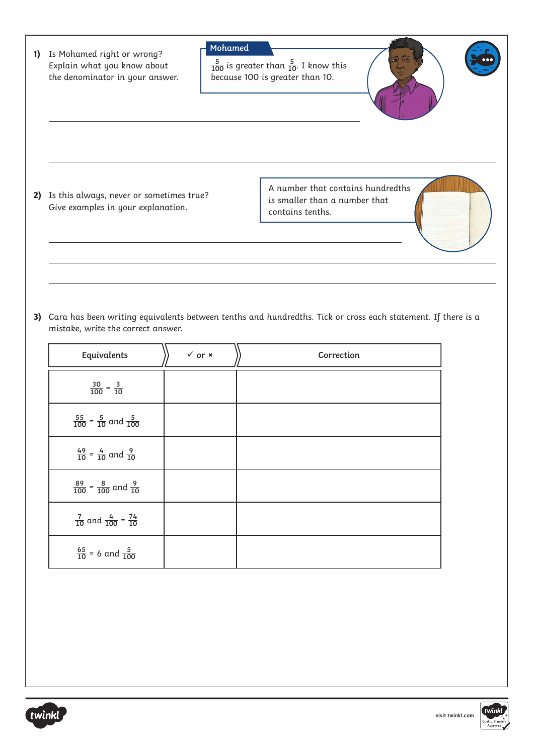| 1) | Mohamed<br>Is Mohamed right or wrong?<br>$\frac{5}{100}$ is greater than $\frac{5}{10}$ . I know this<br>Explain what you know about<br>because 100 is greater than 10.<br>the denominator in your answer. |                              |  |  |                                                                                        |  |  |  |  |
|----|------------------------------------------------------------------------------------------------------------------------------------------------------------------------------------------------------------|------------------------------|--|--|----------------------------------------------------------------------------------------|--|--|--|--|
|    |                                                                                                                                                                                                            |                              |  |  |                                                                                        |  |  |  |  |
|    | 2) Is this always, never or sometimes true?<br>Give examples in your explanation.                                                                                                                          |                              |  |  | A number that contains hundredths<br>is smaller than a number that<br>contains tenths. |  |  |  |  |
|    |                                                                                                                                                                                                            |                              |  |  |                                                                                        |  |  |  |  |
|    |                                                                                                                                                                                                            |                              |  |  |                                                                                        |  |  |  |  |
|    | 3) Cara has been writing equivalents between tenths and hundredths. Tick or cross each statement. If there is a<br>mistake, write the correct answer.                                                      |                              |  |  |                                                                                        |  |  |  |  |
|    | Equivalents                                                                                                                                                                                                | $\checkmark$ or $\checkmark$ |  |  | Correction                                                                             |  |  |  |  |
|    | $\frac{30}{100} = \frac{3}{10}$                                                                                                                                                                            |                              |  |  |                                                                                        |  |  |  |  |
|    | $\frac{55}{100}$ = $\frac{5}{10}$ and $\frac{5}{100}$                                                                                                                                                      |                              |  |  |                                                                                        |  |  |  |  |
|    | $\frac{49}{10}$ = $\frac{4}{10}$ and $\frac{9}{10}$                                                                                                                                                        |                              |  |  |                                                                                        |  |  |  |  |
|    | $\frac{89}{100}$ = $\frac{8}{100}$ and $\frac{9}{10}$                                                                                                                                                      |                              |  |  |                                                                                        |  |  |  |  |